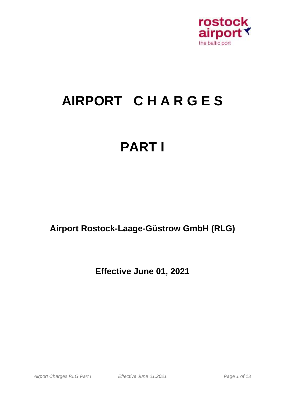

# **AIRPORT C H A R G E S**

# **PART I**

**Airport Rostock-Laage-Güstrow GmbH (RLG)**

**Effective June 01, 2021**

*Airport Charges RLG Part I Effective June 01,2021 Page 1 of 13*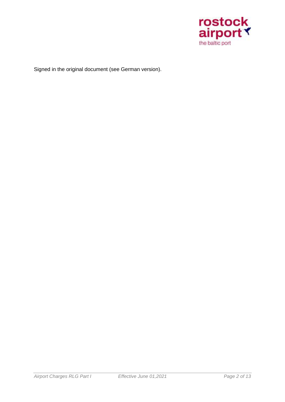

Signed in the original document (see German version).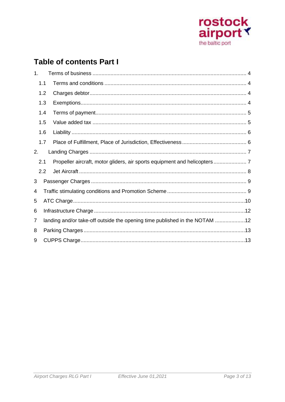

# **Table of contents Part I**

| $1_{-}$        |                                                                            |  |  |  |
|----------------|----------------------------------------------------------------------------|--|--|--|
|                | 1.1                                                                        |  |  |  |
|                | 1.2                                                                        |  |  |  |
|                | 1.3                                                                        |  |  |  |
|                | 1.4                                                                        |  |  |  |
|                | 1.5                                                                        |  |  |  |
|                | 1.6                                                                        |  |  |  |
|                | 1.7                                                                        |  |  |  |
| 2.             |                                                                            |  |  |  |
| 2.1            |                                                                            |  |  |  |
|                | 2.2                                                                        |  |  |  |
| 3              |                                                                            |  |  |  |
| 4              |                                                                            |  |  |  |
| 5              |                                                                            |  |  |  |
| 6              |                                                                            |  |  |  |
| $\overline{7}$ | landing and/or take-off outside the opening time published in the NOTAM 12 |  |  |  |
| 8              |                                                                            |  |  |  |
| 9              |                                                                            |  |  |  |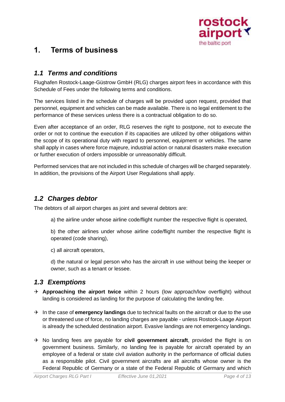

## <span id="page-3-0"></span>**1. Terms of business**

### <span id="page-3-1"></span>*1.1 Terms and conditions*

Flughafen Rostock-Laage-Güstrow GmbH (RLG) charges airport fees in accordance with this Schedule of Fees under the following terms and conditions.

The services listed in the schedule of charges will be provided upon request, provided that personnel, equipment and vehicles can be made available. There is no legal entitlement to the performance of these services unless there is a contractual obligation to do so.

Even after acceptance of an order, RLG reserves the right to postpone, not to execute the order or not to continue the execution if its capacities are utilized by other obligations within the scope of its operational duty with regard to personnel, equipment or vehicles. The same shall apply in cases where force majeure, industrial action or natural disasters make execution or further execution of orders impossible or unreasonably difficult.

Performed services that are not included in this schedule of charges will be charged separately. In addition, the provisions of the Airport User Regulations shall apply.

### <span id="page-3-2"></span>*1.2 Charges debtor*

The debtors of all airport charges as joint and several debtors are:

a) the airline under whose airline code/flight number the respective flight is operated,

b) the other airlines under whose airline code/flight number the respective flight is operated (code sharing),

c) all aircraft operators,

d) the natural or legal person who has the aircraft in use without being the keeper or owner, such as a tenant or lessee.

### <span id="page-3-3"></span>*1.3 Exemptions*

- **Approaching the airport twice** within 2 hours (low approach/low overflight) without landing is considered as landing for the purpose of calculating the landing fee.
- $\rightarrow$  In the case of **emergency landings** due to technical faults on the aircraft or due to the use or threatened use of force, no landing charges are payable - unless Rostock-Laage Airport is already the scheduled destination airport. Evasive landings are not emergency landings.
- No landing fees are payable for **civil government aircraft**, provided the flight is on government business. Similarly, no landing fee is payable for aircraft operated by an employee of a federal or state civil aviation authority in the performance of official duties as a responsible pilot. Civil government aircrafts are all aircrafts whose owner is the Federal Republic of Germany or a state of the Federal Republic of Germany and which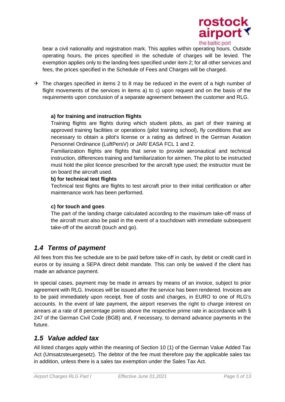

bear a civil nationality and registration mark. This applies within operating hours. Outside operating hours, the prices specified in the schedule of charges will be levied. The exemption applies only to the landing fees specified under item 2; for all other services and fees, the prices specified in the Schedule of Fees and Charges will be charged.

 $\rightarrow$  The charges specified in items 2 to 8 may be reduced in the event of a high number of flight movements of the services in items a) to c) upon request and on the basis of the requirements upon conclusion of a separate agreement between the customer and RLG.

#### **a) for training and instruction flights**

Training flights are flights during which student pilots, as part of their training at approved training facilities or operations (pilot training school), fly conditions that are necessary to obtain a pilot's license or a rating as defined in the German Aviation Personnel Ordinance (LuftPersV) or JAR/ EASA FCL 1 and 2.

Familiarization flights are flights that serve to provide aeronautical and technical instruction, differences training and familiarization for airmen. The pilot to be instructed must hold the pilot licence prescribed for the aircraft type used; the instructor must be on board the aircraft used.

#### **b) for technical test flights**

Technical test flights are flights to test aircraft prior to their initial certification or after maintenance work has been performed.

#### **c) for touch and goes**

The part of the landing charge calculated according to the maximum take-off mass of the aircraft must also be paid in the event of a touchdown with immediate subsequent take-off of the aircraft (touch and go).

### <span id="page-4-0"></span>*1.4 Terms of payment*

All fees from this fee schedule are to be paid before take-off in cash, by debit or credit card in euros or by issuing a SEPA direct debit mandate. This can only be waived if the client has made an advance payment.

In special cases, payment may be made in arrears by means of an invoice, subject to prior agreement with RLG. Invoices will be issued after the service has been rendered. Invoices are to be paid immediately upon receipt, free of costs and charges, in EURO to one of RLG's accounts. In the event of late payment, the airport reserves the right to charge interest on arrears at a rate of 8 percentage points above the respective prime rate in accordance with § 247 of the German Civil Code (BGB) and, if necessary, to demand advance payments in the future.

### <span id="page-4-1"></span>*1.5 Value added tax*

All listed charges apply within the meaning of Section 10 (1) of the German Value Added Tax Act (Umsatzsteuergesetz). The debtor of the fee must therefore pay the applicable sales tax in addition, unless there is a sales tax exemption under the Sales Tax Act.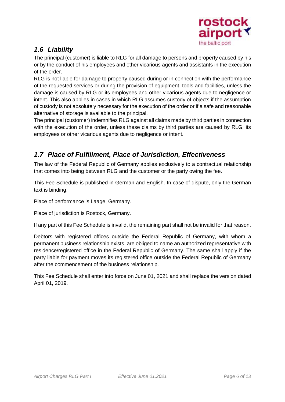

### <span id="page-5-0"></span>*1.6 Liability*

The principal (customer) is liable to RLG for all damage to persons and property caused by his or by the conduct of his employees and other vicarious agents and assistants in the execution of the order.

RLG is not liable for damage to property caused during or in connection with the performance of the requested services or during the provision of equipment, tools and facilities, unless the damage is caused by RLG or its employees and other vicarious agents due to negligence or intent. This also applies in cases in which RLG assumes custody of objects if the assumption of custody is not absolutely necessary for the execution of the order or if a safe and reasonable alternative of storage is available to the principal.

The principal (customer) indemnifies RLG against all claims made by third parties in connection with the execution of the order, unless these claims by third parties are caused by RLG, its employees or other vicarious agents due to negligence or intent.

### <span id="page-5-1"></span>*1.7 Place of Fulfillment, Place of Jurisdiction, Effectiveness*

The law of the Federal Republic of Germany applies exclusively to a contractual relationship that comes into being between RLG and the customer or the party owing the fee.

This Fee Schedule is published in German and English. In case of dispute, only the German text is binding.

Place of performance is Laage, Germany.

Place of jurisdiction is Rostock, Germany.

If any part of this Fee Schedule is invalid, the remaining part shall not be invalid for that reason.

Debtors with registered offices outside the Federal Republic of Germany, with whom a permanent business relationship exists, are obliged to name an authorized representative with residence/registered office in the Federal Republic of Germany. The same shall apply if the party liable for payment moves its registered office outside the Federal Republic of Germany after the commencement of the business relationship.

This Fee Schedule shall enter into force on June 01, 2021 and shall replace the version dated April 01, 2019.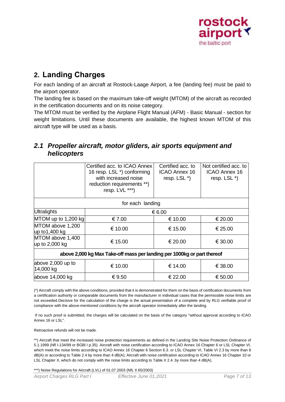

# <span id="page-6-0"></span>**2. Landing Charges**

For each landing of an aircraft at Rostock-Laage Airport, a fee (landing fee) must be paid to the airport operator.

The landing fee is based on the maximum take-off weight (MTOM) of the aircraft as recorded in the certification documents and on its noise category.

The MTOM must be verified by the Airplane Flight Manual (AFM) - Basic Manual - section for weight limitations. Until these documents are available, the highest known MTOM of this aircraft type will be used as a basis.

### <span id="page-6-1"></span>*2.1 Propeller aircraft, motor gliders, air sports equipment and helicopters*

|                                                                         | Certified acc. to ICAO Annex<br>16 resp. LSL *) conforming<br>with increased noise<br>reduction requirements **)<br>resp. LVL ***) | Certified acc. to<br><b>ICAO Annex 16</b><br>resp. $LSL^*$ ) | Not certified acc. to<br>ICAO Annex 16<br>resp. $LSL^*$ ) |  |  |
|-------------------------------------------------------------------------|------------------------------------------------------------------------------------------------------------------------------------|--------------------------------------------------------------|-----------------------------------------------------------|--|--|
| for each landing                                                        |                                                                                                                                    |                                                              |                                                           |  |  |
| <b>Ultralights</b>                                                      | € 6.00                                                                                                                             |                                                              |                                                           |  |  |
| MTOM up to 1,200 kg                                                     | € 7.00                                                                                                                             | € 10.00                                                      | € 20.00                                                   |  |  |
| MTOM above 1,200<br>up to 1,400 kg                                      | € 10.00                                                                                                                            | € 15.00                                                      | € 25.00                                                   |  |  |
| MTOM above 1,400<br>up to 2,000 kg                                      | € 15.00                                                                                                                            | € 20.00                                                      | € 30.00                                                   |  |  |
| above 2,000 kg Max Take-off mass per landing per 1000kg or part thereof |                                                                                                                                    |                                                              |                                                           |  |  |
| above 2,000 up to<br>14,000 kg                                          | € 10.00                                                                                                                            | € 14.00                                                      | € 38.00                                                   |  |  |
| above 14,000 kg                                                         | € 9.50                                                                                                                             | € 22.00                                                      | € 50.00                                                   |  |  |

(\*) Aircraft comply with the above conditions, provided that it is demonstrated for them on the basis of certification documents from a certification authority or comparable documents from the manufacturer in individual cases that the permissible noise limits are not exceeded.Decisive for the calculation of the charge is the actual presentation of a complete and by RLG verifiable proof of compliance with the above-mentioned conditions by the aircraft operator immediately after the landing.

If no such proof is submitted, the charges will be calculated on the basis of the category "without approval according to ICAO Annex 16 or LSL".

Retroactive refunds will not be made.

\*\*) Aircraft that meet the increased noise protection requirements as defined in the Landing Site Noise Protection Ordinance of 5.1.1999 (Nfl I-134/99 or BGBl I p.35). Aircraft with noise certification according to ICAO Annex 16 Chapter 6 or LSL Chapter VI, which meet the noise limits according to ICAO Annex 16 Chapter 6 Section 6.3. or LSL Chapter VI, Table VI 2.3 by more than 8 dB(A) or according to Table 2.4 by more than 4 dB(A); Aircraft with noise certification according to ICAO Annex 16 Chapter 10 or LSL Chapter X, which do not comply with the noise limits according to Table X 2.4. by more than 4 dB(A).

\*\*\*) Noise Regulations for Aircraft (LVL) of 01.07.2003 (NfL II 65/2003)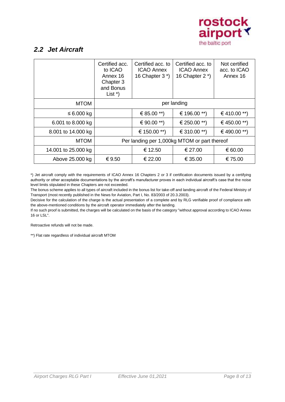

### <span id="page-7-0"></span>*2.2 Jet Aircraft*

|                     | Certified acc.<br>to ICAO<br>Annex 16<br>Chapter 3<br>and Bonus<br>List $*$ ) | Certified acc. to<br><b>ICAO Annex</b><br>16 Chapter 3 *) | Certified acc. to<br><b>ICAO Annex</b><br>16 Chapter 2*) | Not certified<br>acc. to ICAO<br>Annex 16 |
|---------------------|-------------------------------------------------------------------------------|-----------------------------------------------------------|----------------------------------------------------------|-------------------------------------------|
| <b>MTOM</b>         | per landing                                                                   |                                                           |                                                          |                                           |
| ≤ 6.000 kg          |                                                                               | € 85.00 <sup>**</sup> )                                   | € 196.00 **)                                             | € 410.00 <sup>**</sup> )                  |
| 6.001 to 8.000 kg   |                                                                               | € 90.00 **)                                               | € 250.00 **)                                             | € 450.00 **)                              |
| 8.001 to 14.000 kg  |                                                                               | € 150.00 **)                                              | € 310.00 **)                                             | € 490.00 <sup>**</sup> )                  |
| <b>MTOM</b>         | Per landing per 1,000kg MTOM or part thereof                                  |                                                           |                                                          |                                           |
| 14.001 to 25.000 kg |                                                                               | € 12.50                                                   | € 27.00                                                  | € 60.00                                   |
| Above 25,000 kg     | € 9.50                                                                        | € 22.00                                                   | € 35.00                                                  | € 75.00                                   |

\*) Jet aircraft comply with the requirements of ICAO Annex 16 Chapters 2 or 3 if certification documents issued by a certifying authority or other acceptable documentations by the aircraft's manufacturer proves in each individual aircraft's case that the noise level limits stipulated in these Chapters are not exceeded.

The bonus scheme applies to all types of aircraft included in the bonus list for take-off and landing aircraft of the Federal Ministry of Transport (most recently published in the News for Aviation, Part I, No. 83/2003 of 20.3.2003).

Decisive for the calculation of the charge is the actual presentation of a complete and by RLG verifiable proof of compliance with the above-mentioned conditions by the aircraft operator immediately after the landing.

If no such proof is submitted, the charges will be calculated on the basis of the category "without approval according to ICAO Annex 16 or LSL".

Retroactive refunds will not be made.

\*\*) Flat rate regardless of individual aircraft MTOM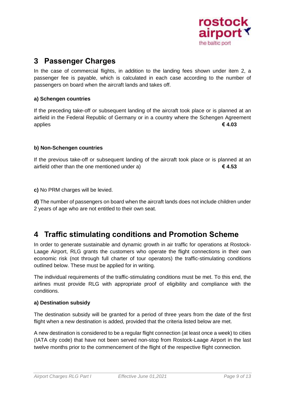

# <span id="page-8-0"></span>**3 Passenger Charges**

In the case of commercial flights, in addition to the landing fees shown under item 2, a passenger fee is payable, which is calculated in each case according to the number of passengers on board when the aircraft lands and takes off.

#### **a) Schengen countries**

If the preceding take-off or subsequent landing of the aircraft took place or is planned at an airfield in the Federal Republic of Germany or in a country where the Schengen Agreement applies  $\epsilon$  4.03

#### **b) Non-Schengen countries**

If the previous take-off or subsequent landing of the aircraft took place or is planned at an airfield other than the one mentioned under a) **€ 4.53** 

**c)** No PRM charges will be levied.

**d)** The number of passengers on board when the aircraft lands does not include children under 2 years of age who are not entitled to their own seat.

### <span id="page-8-1"></span>**4 Traffic stimulating conditions and Promotion Scheme**

In order to generate sustainable and dynamic growth in air traffic for operations at Rostock-Laage Airport, RLG grants the customers who operate the flight connections in their own economic risk (not through full charter of tour operators) the traffic-stimulating conditions outlined below. These must be applied for in writing.

The individual requirements of the traffic-stimulating conditions must be met. To this end, the airlines must provide RLG with appropriate proof of eligibility and compliance with the conditions.

#### **a) Destination subsidy**

The destination subsidy will be granted for a period of three years from the date of the first flight when a new destination is added, provided that the criteria listed below are met.

A new destination is considered to be a regular flight connection (at least once a week) to cities (IATA city code) that have not been served non-stop from Rostock-Laage Airport in the last twelve months prior to the commencement of the flight of the respective flight connection.

*Airport Charges RLG Part I Effective June 01,2021 Page 9 of 13*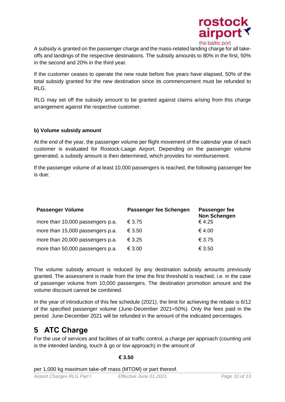

A subsidy is granted on the passenger charge and the mass-related landing charge for all takeoffs and landings of the respective destinations. The subsidy amounts to 80% in the first, 50% in the second and 20% in the third year.

If the customer ceases to operate the new route before five years have elapsed, 50% of the total subsidy granted for the new destination since its commencement must be refunded to RLG.

RLG may set off the subsidy amount to be granted against claims arising from this charge arrangement against the respective customer.

#### **b) Volume subsidy amount**

At the end of the year, the passenger volume per flight movement of the calendar year of each customer is evaluated for Rostock-Laage Airport. Depending on the passenger volume generated, a subsidy amount is then determined, which provides for reimbursement.

If the passenger volume of at least 10,000 passengers is reached, the following passenger fee is due:

| <b>Passenger Volume</b>          | Passenger fee Schengen | Passenger fee<br>Non Schengen |  |
|----------------------------------|------------------------|-------------------------------|--|
| more than 10,000 passengers p.a. | € 3.75                 | €4.25                         |  |
| more than 15,000 passengers p.a. | € 3.50                 | € 4.00                        |  |
| more than 20,000 passengers p.a. | € 3.25                 | € 3.75                        |  |
| more than 50,000 passengers p.a. | € 3.00                 | € 3.50                        |  |

The volume subsidy amount is reduced by any destination subsidy amounts previously granted. The assessment is made from the time the first threshold is reached, i.e. in the case of passenger volume from 10,000 passengers. The destination promotion amount and the volume discount cannot be combined.

In the year of introduction of this fee schedule (2021), the limit for achieving the rebate is 6/12 of the specified passenger volume (June-December 2021=50%). Only the fees paid in the period June-December 2021 will be refunded in the amount of the indicated percentages.

## <span id="page-9-0"></span>**5 ATC Charge**

For the use of services and facilities of air traffic control, a charge per approach (counting unit is the intended landing, touch & go or low approach) in the amount of

#### **€ 3.50**

per 1,000 kg maximum take-off mass (MTOM) or part thereof.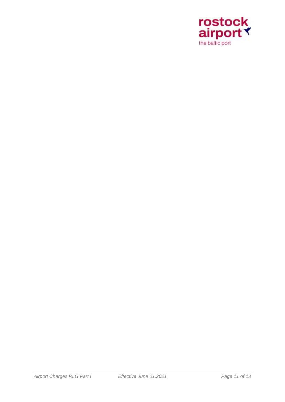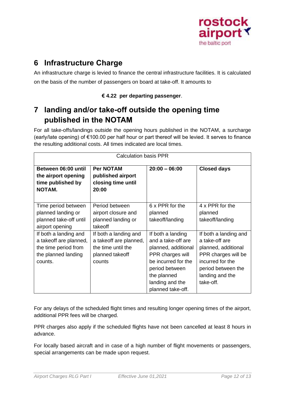

# <span id="page-11-0"></span>**6 Infrastructure Charge**

An infrastructure charge is levied to finance the central infrastructure facilities. It is calculated on the basis of the number of passengers on board at take-off. It amounts to

#### **€ 4.22 per departing passenger**.

# <span id="page-11-1"></span>**7 landing and/or take-off outside the opening time published in the NOTAM**

For all take-offs/landings outside the opening hours published in the NOTAM, a surcharge (early/late opening) of €100.00 per half hour or part thereof will be levied. It serves to finance the resulting additional costs. All times indicated are local times.

| <b>Calculation basis PPR</b>                                                                              |                                                                                                    |                                                                                                                                                                                    |                                                                                                                                                                 |  |
|-----------------------------------------------------------------------------------------------------------|----------------------------------------------------------------------------------------------------|------------------------------------------------------------------------------------------------------------------------------------------------------------------------------------|-----------------------------------------------------------------------------------------------------------------------------------------------------------------|--|
| Between 06:00 until<br>the airport opening<br>time published by<br>NOTAM.                                 | <b>Per NOTAM</b><br>published airport<br>closing time until<br>20:00                               | $20:00 - 06:00$                                                                                                                                                                    | <b>Closed days</b>                                                                                                                                              |  |
| Time period between<br>planned landing or<br>planned take-off until<br>airport opening                    | Period between<br>airport closure and<br>planned landing or<br>takeoff                             | 6 x PPR for the<br>planned<br>takeoff/landing                                                                                                                                      | 4 x PPR for the<br>planned<br>takeoff/landing                                                                                                                   |  |
| If both a landing and<br>a takeoff are planned,<br>the time period from<br>the planned landing<br>counts. | If both a landing and<br>a takeoff are planned,<br>the time until the<br>planned takeoff<br>counts | If both a landing<br>and a take-off are<br>planned, additional<br>PPR charges will<br>be incurred for the<br>period between<br>the planned<br>landing and the<br>planned take-off. | If both a landing and<br>a take-off are<br>planned, additional<br>PPR charges will be<br>incurred for the<br>period between the<br>landing and the<br>take-off. |  |

For any delays of the scheduled flight times and resulting longer opening times of the airport, additional PPR fees will be charged.

PPR charges also apply if the scheduled flights have not been cancelled at least 8 hours in advance.

For locally based aircraft and in case of a high number of flight movements or passengers, special arrangements can be made upon request.